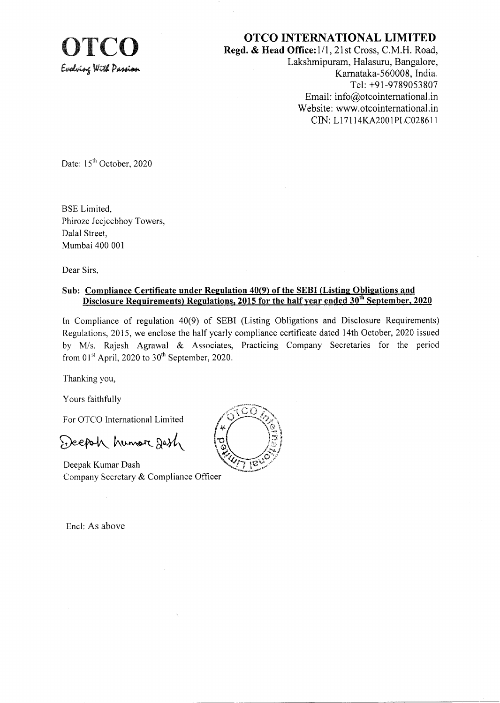

**OTCO INTERNATIONAL LIMITED**<br>Regd. & Head Office:1/1, 21st Cross, C.M.H. Road,<br>Lakebminuten, Helssun, Bangalore Lakshmipuram, Halasuru, Bangalore, Karnataka-560008, India. Tel: +91-9789053807 Email: info@otcointernational.in Website: www.otcointernational.in CIN: L171 14KA2001 PLC0286 I <sup>I</sup>

Date: 15<sup>th</sup> October, 2020

BSE Limited, Phiroze Jeejeebhoy Towers, Dalal Street, Mumbai 400 001

Dear Sirs,

## Sub: Compliance Certificate under Regulation 40(9) of the SEBI (Listing Obligations and 15 for the half year en

In Compliance of regulation a0(9) of SEBI (Listing Obligations and Disclosure Requirements) Regulations,2075, we enclose the half yearly compliance certificate dated 14th October,2020 issued by Mis. Rajesh Agrawal & Associates, Practicing Company Secretaries for the period from  $01<sup>st</sup>$  April, 2020 to  $30<sup>th</sup>$  September, 2020.

Thanking you,

Yours faithfully

For OTCO lnternational Limited

Deepoh humor desh

Deepak Kumar Dash Company Secretary & Compliance Officer

Encl: As above